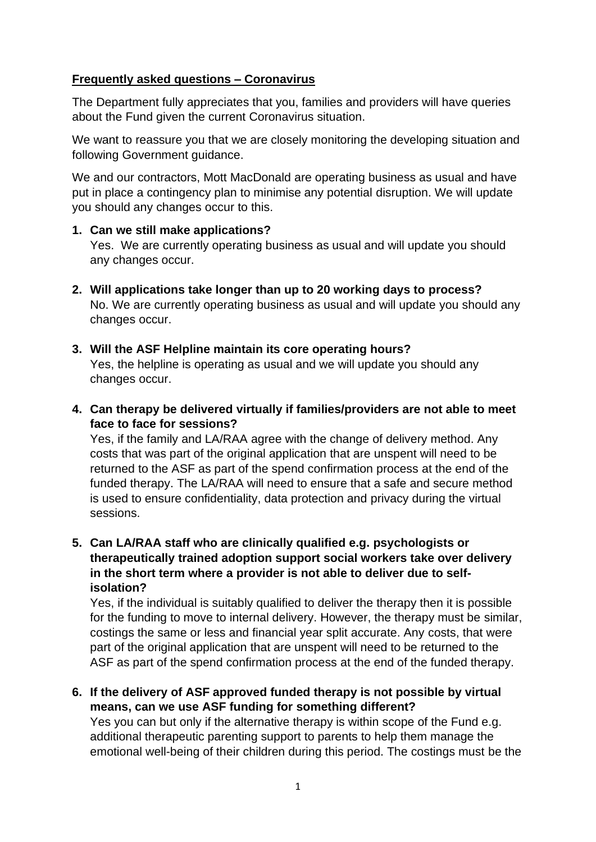# **Frequently asked questions – Coronavirus**

The Department fully appreciates that you, families and providers will have queries about the Fund given the current Coronavirus situation.

We want to reassure you that we are closely monitoring the developing situation and following Government guidance.

We and our contractors, Mott MacDonald are operating business as usual and have put in place a contingency plan to minimise any potential disruption. We will update you should any changes occur to this.

### **1. Can we still make applications?**

Yes. We are currently operating business as usual and will update you should any changes occur.

- **2. Will applications take longer than up to 20 working days to process?** No. We are currently operating business as usual and will update you should any changes occur.
- **3. Will the ASF Helpline maintain its core operating hours?** Yes, the helpline is operating as usual and we will update you should any changes occur.
- **4. Can therapy be delivered virtually if families/providers are not able to meet face to face for sessions?**

Yes, if the family and LA/RAA agree with the change of delivery method. Any costs that was part of the original application that are unspent will need to be returned to the ASF as part of the spend confirmation process at the end of the funded therapy. The LA/RAA will need to ensure that a safe and secure method is used to ensure confidentiality, data protection and privacy during the virtual sessions.

**5. Can LA/RAA staff who are clinically qualified e.g. psychologists or therapeutically trained adoption support social workers take over delivery in the short term where a provider is not able to deliver due to selfisolation?**

Yes, if the individual is suitably qualified to deliver the therapy then it is possible for the funding to move to internal delivery. However, the therapy must be similar, costings the same or less and financial year split accurate. Any costs, that were part of the original application that are unspent will need to be returned to the ASF as part of the spend confirmation process at the end of the funded therapy.

**6. If the delivery of ASF approved funded therapy is not possible by virtual means, can we use ASF funding for something different?**

Yes you can but only if the alternative therapy is within scope of the Fund e.g. additional therapeutic parenting support to parents to help them manage the emotional well-being of their children during this period. The costings must be the